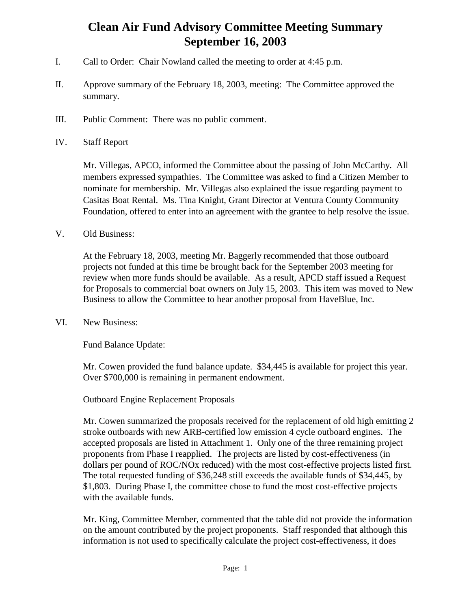# **Clean Air Fund Advisory Committee Meeting Summary September 16, 2003**

- I. Call to Order: Chair Nowland called the meeting to order at 4:45 p.m.
- II. Approve summary of the February 18, 2003, meeting: The Committee approved the summary.
- III. Public Comment: There was no public comment.
- IV. Staff Report

Mr. Villegas, APCO, informed the Committee about the passing of John McCarthy. All members expressed sympathies. The Committee was asked to find a Citizen Member to nominate for membership. Mr. Villegas also explained the issue regarding payment to Casitas Boat Rental. Ms. Tina Knight, Grant Director at Ventura County Community Foundation, offered to enter into an agreement with the grantee to help resolve the issue.

V. Old Business:

At the February 18, 2003, meeting Mr. Baggerly recommended that those outboard projects not funded at this time be brought back for the September 2003 meeting for review when more funds should be available. As a result, APCD staff issued a Request for Proposals to commercial boat owners on July 15, 2003. This item was moved to New Business to allow the Committee to hear another proposal from HaveBlue, Inc.

VI. New Business:

Fund Balance Update:

Mr. Cowen provided the fund balance update. \$34,445 is available for project this year. Over \$700,000 is remaining in permanent endowment.

Outboard Engine Replacement Proposals

Mr. Cowen summarized the proposals received for the replacement of old high emitting 2 stroke outboards with new ARB-certified low emission 4 cycle outboard engines. The accepted proposals are listed in Attachment 1. Only one of the three remaining project proponents from Phase I reapplied. The projects are listed by cost-effectiveness (in dollars per pound of ROC/NOx reduced) with the most cost-effective projects listed first. The total requested funding of \$36,248 still exceeds the available funds of \$34,445, by \$1,803. During Phase I, the committee chose to fund the most cost-effective projects with the available funds.

Mr. King, Committee Member, commented that the table did not provide the information on the amount contributed by the project proponents. Staff responded that although this information is not used to specifically calculate the project cost-effectiveness, it does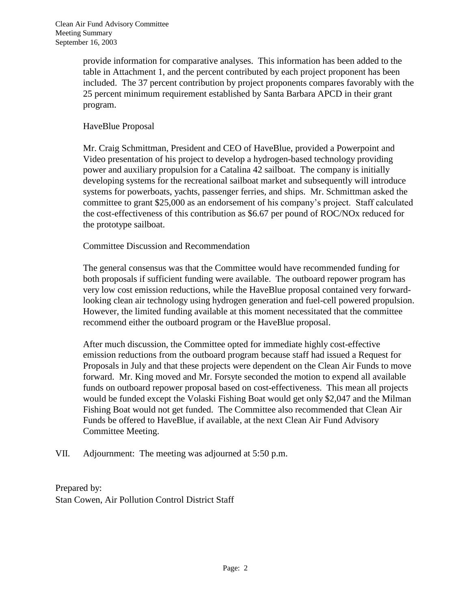provide information for comparative analyses. This information has been added to the table in Attachment 1, and the percent contributed by each project proponent has been included. The 37 percent contribution by project proponents compares favorably with the 25 percent minimum requirement established by Santa Barbara APCD in their grant program.

### HaveBlue Proposal

Mr. Craig Schmittman, President and CEO of HaveBlue, provided a Powerpoint and Video presentation of his project to develop a hydrogen-based technology providing power and auxiliary propulsion for a Catalina 42 sailboat. The company is initially developing systems for the recreational sailboat market and subsequently will introduce systems for powerboats, yachts, passenger ferries, and ships. Mr. Schmittman asked the committee to grant \$25,000 as an endorsement of his company's project. Staff calculated the cost-effectiveness of this contribution as \$6.67 per pound of ROC/NOx reduced for the prototype sailboat.

#### Committee Discussion and Recommendation

The general consensus was that the Committee would have recommended funding for both proposals if sufficient funding were available. The outboard repower program has very low cost emission reductions, while the HaveBlue proposal contained very forwardlooking clean air technology using hydrogen generation and fuel-cell powered propulsion. However, the limited funding available at this moment necessitated that the committee recommend either the outboard program or the HaveBlue proposal.

After much discussion, the Committee opted for immediate highly cost-effective emission reductions from the outboard program because staff had issued a Request for Proposals in July and that these projects were dependent on the Clean Air Funds to move forward. Mr. King moved and Mr. Forsyte seconded the motion to expend all available funds on outboard repower proposal based on cost-effectiveness. This mean all projects would be funded except the Volaski Fishing Boat would get only \$2,047 and the Milman Fishing Boat would not get funded. The Committee also recommended that Clean Air Funds be offered to HaveBlue, if available, at the next Clean Air Fund Advisory Committee Meeting.

VII. Adjournment: The meeting was adjourned at 5:50 p.m.

Prepared by: Stan Cowen, Air Pollution Control District Staff